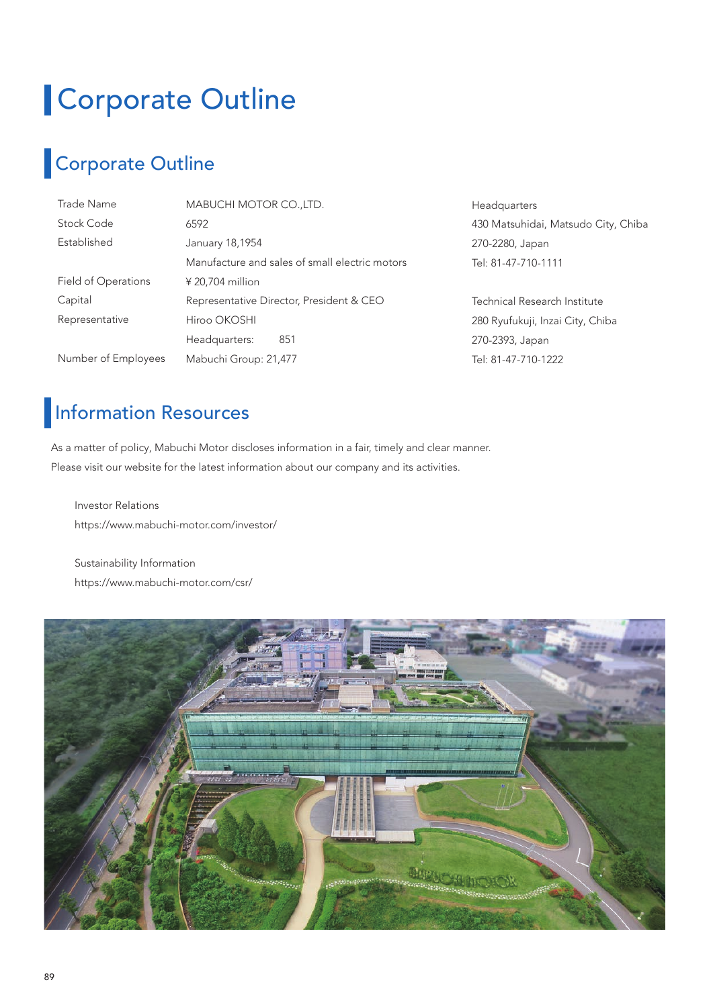# Corporate Outline

# Corporate Outline

| Trade Name          | MABUCHI MOTOR CO., LTD.                        | Headquarters                        |
|---------------------|------------------------------------------------|-------------------------------------|
| Stock Code          | 6592                                           | 430 Matsuhidai, Matsudo City, Chiba |
| Established         | January 18,1954                                | 270-2280, Japan                     |
|                     | Manufacture and sales of small electric motors | Tel: 81-47-710-1111                 |
| Field of Operations | $420,704$ million                              |                                     |
| Capital             | Representative Director, President & CEO       | Technical Research Institute        |
| Representative      | Hiroo OKOSHI                                   | 280 Ryufukuji, Inzai City, Chiba    |
|                     | Headquarters:<br>851                           | 270-2393, Japan                     |
| Number of Employees | Mabuchi Group: 21,477                          | Tel: 81-47-710-1222                 |

### **Information Resources**

As a matter of policy, Mabuchi Motor discloses information in a fair, timely and clear manner. Please visit our website for the latest information about our company and its activities.

Investor Relations https://www.mabuchi-motor.com/investor/

Sustainability Information https://www.mabuchi-motor.com/csr/